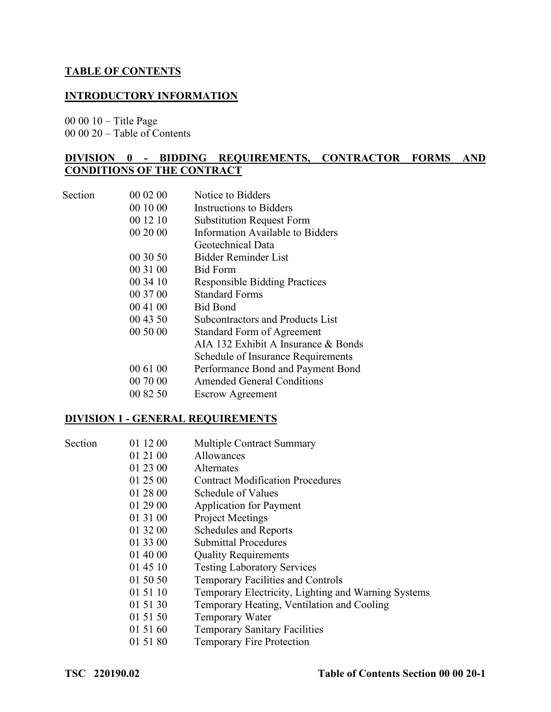#### **TABLE OF CONTENTS**

### **INTRODUCTORY INFORMATION**

00 00 10 – Title Page

00 00 20 – Table of Contents

#### **DIVISION 0 - BIDDING REQUIREMENTS, CONTRACTOR FORMS AND CONDITIONS OF THE CONTRACT**

| Section | 00 02 00 | Notice to Bidders                       |
|---------|----------|-----------------------------------------|
|         | 00 10 00 | Instructions to Bidders                 |
|         | 00 12 10 | <b>Substitution Request Form</b>        |
|         | 00 20 00 | Information Available to Bidders        |
|         |          | Geotechnical Data                       |
|         | 00 30 50 | <b>Bidder Reminder List</b>             |
|         | 00 31 00 | <b>Bid Form</b>                         |
|         | 00 34 10 | <b>Responsible Bidding Practices</b>    |
|         | 00 37 00 | <b>Standard Forms</b>                   |
|         | 00 41 00 | <b>Bid Bond</b>                         |
|         | 00 43 50 | <b>Subcontractors and Products List</b> |
|         | 00 50 00 | <b>Standard Form of Agreement</b>       |
|         |          | AIA 132 Exhibit A Insurance & Bonds     |
|         |          | Schedule of Insurance Requirements      |
|         | 00 61 00 | Performance Bond and Payment Bond       |
|         | 00 70 00 | <b>Amended General Conditions</b>       |
|         | 00 82 50 | <b>Escrow Agreement</b>                 |

#### **DIVISION 1 - GENERAL REQUIREMENTS**

| Section | 01 12 00 | <b>Multiple Contract Summary</b>                    |
|---------|----------|-----------------------------------------------------|
|         | 01 21 00 | <b>Allowances</b>                                   |
|         | 01 23 00 | <b>Alternates</b>                                   |
|         | 01 25 00 | <b>Contract Modification Procedures</b>             |
|         | 01 28 00 | Schedule of Values                                  |
|         | 01 29 00 | <b>Application for Payment</b>                      |
|         | 01 31 00 | <b>Project Meetings</b>                             |
|         | 01 32 00 | Schedules and Reports                               |
|         | 01 33 00 | <b>Submittal Procedures</b>                         |
|         | 01 40 00 | <b>Quality Requirements</b>                         |
|         | 01 45 10 | <b>Testing Laboratory Services</b>                  |
|         | 01 50 50 | <b>Temporary Facilities and Controls</b>            |
|         | 01 51 10 | Temporary Electricity, Lighting and Warning Systems |
|         | 01 51 30 | Temporary Heating, Ventilation and Cooling          |
|         | 01 51 50 | Temporary Water                                     |
|         | 01 51 60 | <b>Temporary Sanitary Facilities</b>                |
|         | 01 51 80 | <b>Temporary Fire Protection</b>                    |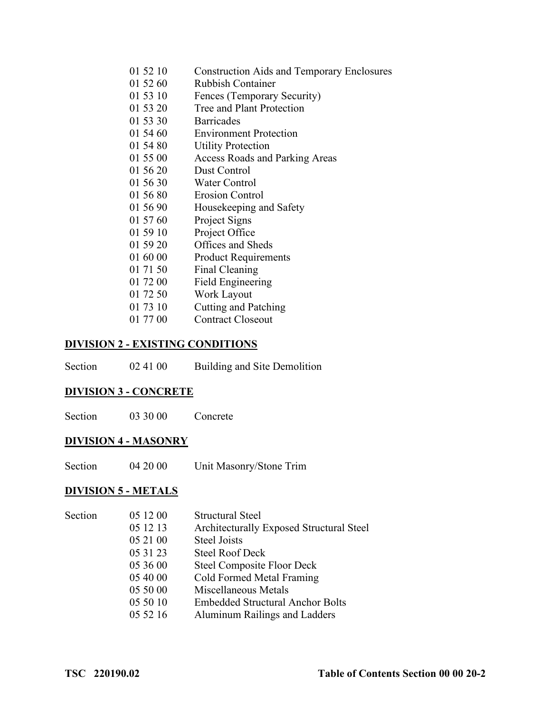| <b>Construction Aids and Temporary Enclosures</b><br>01 52 10 |  |
|---------------------------------------------------------------|--|
|---------------------------------------------------------------|--|

- 01 52 60 Rubbish Container
- 01 53 10 Fences (Temporary Security)
- 01 53 20 Tree and Plant Protection
- 01 53 30 Barricades
- 01 54 60 Environment Protection
- 01 54 80 Utility Protection
- 01 55 00 Access Roads and Parking Areas
- 01 56 20 Dust Control
- 01 56 30 Water Control
- 01 56 80 Erosion Control
- 01 56 90 Housekeeping and Safety
- 01 57 60 Project Signs
- 01 59 10 Project Office
- 01 59 20 Offices and Sheds
- 01 60 00 Product Requirements
- 01 71 50 Final Cleaning
- 01 72 00 Field Engineering
- 01 72 50 Work Layout
- 01 73 10 Cutting and Patching
- 01 77 00 Contract Closeout

#### **DIVISION 2 - EXISTING CONDITIONS**

| Section | 02 41 00 | Building and Site Demolition |
|---------|----------|------------------------------|
|---------|----------|------------------------------|

#### **DIVISION 3 - CONCRETE**

| Section | 03 30 00 | Concrete |
|---------|----------|----------|
|---------|----------|----------|

#### **DIVISION 4 - MASONRY**

| Section | 04 20 00 | Unit Masonry/Stone Trim |
|---------|----------|-------------------------|
|---------|----------|-------------------------|

# **DIVISION 5 - METALS**

| Section | 05 12 00 | <b>Structural Steel</b>                  |
|---------|----------|------------------------------------------|
|         | 05 12 13 | Architecturally Exposed Structural Steel |
|         | 05 21 00 | <b>Steel Joists</b>                      |
|         | 05 31 23 | <b>Steel Roof Deck</b>                   |
|         | 05 36 00 | <b>Steel Composite Floor Deck</b>        |
|         | 05 40 00 | Cold Formed Metal Framing                |
|         | 05 50 00 | Miscellaneous Metals                     |
|         | 05 50 10 | <b>Embedded Structural Anchor Bolts</b>  |
|         | 05 52 16 | Aluminum Railings and Ladders            |
|         |          |                                          |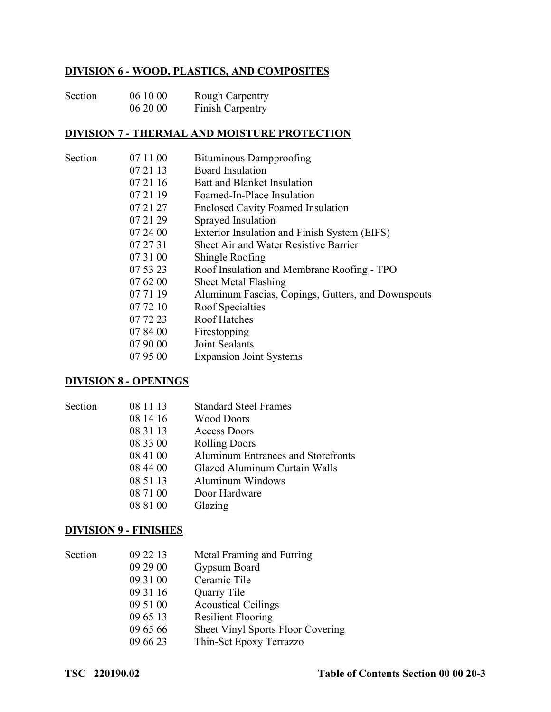## **DIVISION 6 - WOOD, PLASTICS, AND COMPOSITES**

| Section | 06 10 00 | <b>Rough Carpentry</b> |
|---------|----------|------------------------|
|         | 06 20 00 | Finish Carpentry       |

#### **DIVISION 7 - THERMAL AND MOISTURE PROTECTION**

| Section | 07 11 00 | Bituminous Dampproofing                            |
|---------|----------|----------------------------------------------------|
|         | 07 21 13 | <b>Board Insulation</b>                            |
|         | 07 21 16 | Batt and Blanket Insulation                        |
|         | 07 21 19 | Foamed-In-Place Insulation                         |
|         | 07 21 27 | <b>Enclosed Cavity Foamed Insulation</b>           |
|         | 07 21 29 | Sprayed Insulation                                 |
|         | 07 24 00 | Exterior Insulation and Finish System (EIFS)       |
|         | 07 27 31 | Sheet Air and Water Resistive Barrier              |
|         | 07 31 00 | Shingle Roofing                                    |
|         | 07 53 23 | Roof Insulation and Membrane Roofing - TPO         |
|         | 07 62 00 | Sheet Metal Flashing                               |
|         | 07 71 19 | Aluminum Fascias, Copings, Gutters, and Downspouts |
|         | 07 72 10 | Roof Specialties                                   |
|         | 07 72 23 | <b>Roof Hatches</b>                                |
|         | 07 84 00 | Firestopping                                       |
|         | 07 90 00 | Joint Sealants                                     |
|         | 07 95 00 | <b>Expansion Joint Systems</b>                     |
|         |          |                                                    |

#### **DIVISION 8 - OPENINGS**

Section

| Section | 08 11 13 | <b>Standard Steel Frames</b>              |
|---------|----------|-------------------------------------------|
|         | 08 14 16 | <b>Wood Doors</b>                         |
|         | 08 31 13 | Access Doors                              |
|         | 08 33 00 | <b>Rolling Doors</b>                      |
|         | 08 41 00 | <b>Aluminum Entrances and Storefronts</b> |
|         | 08 44 00 | Glazed Aluminum Curtain Walls             |
|         | 08 51 13 | Aluminum Windows                          |
|         | 08 71 00 | Door Hardware                             |
|         | 08 81 00 | Glazing                                   |

#### **DIVISION 9 - FINISHES**

| Section | 09 22 13 | Metal Framing and Furring         |
|---------|----------|-----------------------------------|
|         | 09 29 00 | Gypsum Board                      |
|         | 09 31 00 | Ceramic Tile                      |
|         | 09 31 16 | Quarry Tile                       |
|         | 09 51 00 | <b>Acoustical Ceilings</b>        |
|         | 09 65 13 | <b>Resilient Flooring</b>         |
|         | 09 65 66 | Sheet Vinyl Sports Floor Covering |
|         | 09 66 23 | Thin-Set Epoxy Terrazzo           |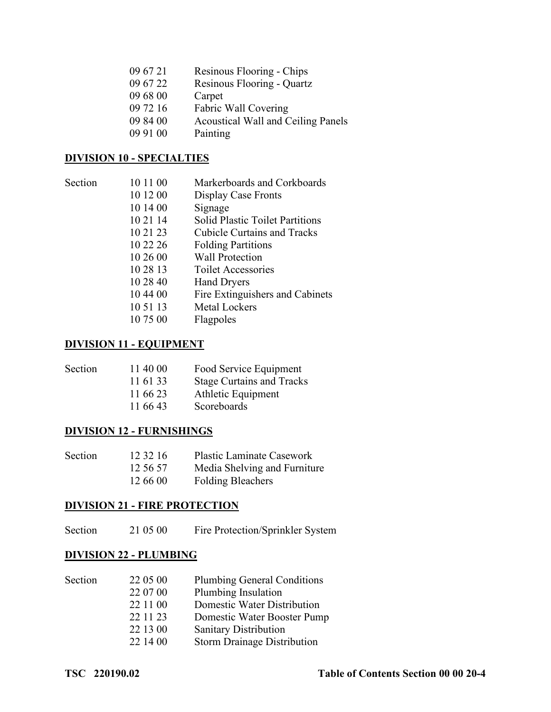| 09 67 21 | Resinous Flooring - Chips          |
|----------|------------------------------------|
| 09 67 22 | Resinous Flooring - Quartz         |
| 09 68 00 | Carpet                             |
| 09 72 16 | Fabric Wall Covering               |
| 09 84 00 | Acoustical Wall and Ceiling Panels |
| 09 91 00 | Painting                           |
|          |                                    |

## **DIVISION 10 - SPECIALTIES**

| Section | 10 11 00 | Markerboards and Corkboards            |
|---------|----------|----------------------------------------|
|         | 10 12 00 | Display Case Fronts                    |
|         | 10 14 00 | Signage                                |
|         | 10 21 14 | <b>Solid Plastic Toilet Partitions</b> |
|         | 10 21 23 | <b>Cubicle Curtains and Tracks</b>     |
|         | 10 22 26 | <b>Folding Partitions</b>              |
|         | 10 26 00 | <b>Wall Protection</b>                 |
|         | 10 28 13 | <b>Toilet Accessories</b>              |
|         | 10 28 40 | <b>Hand Dryers</b>                     |
|         | 10 44 00 | Fire Extinguishers and Cabinets        |
|         | 10 51 13 | <b>Metal Lockers</b>                   |
|         | 10 75 00 | Flagpoles                              |
|         |          |                                        |

#### **DIVISION 11 - EQUIPMENT**

| Section | 11 40 00 | Food Service Equipment           |
|---------|----------|----------------------------------|
|         | 11 61 33 | <b>Stage Curtains and Tracks</b> |
|         | 11 66 23 | Athletic Equipment               |
|         | 11 66 43 | Scoreboards                      |
|         |          |                                  |

## **DIVISION 12 - FURNISHINGS**

| Section | 12 32 16 | <b>Plastic Laminate Casework</b> |
|---------|----------|----------------------------------|
|         | 12.56.57 | Media Shelving and Furniture     |
|         | 12 66 00 | <b>Folding Bleachers</b>         |

# **DIVISION 21 - FIRE PROTECTION**

# Section 21 05 00 Fire Protection/Sprinkler System

### **DIVISION 22 - PLUMBING**

| 22 05 00 | <b>Plumbing General Conditions</b> |
|----------|------------------------------------|
| 22 07 00 | Plumbing Insulation                |
| 22 11 00 | Domestic Water Distribution        |
| 22 11 23 | Domestic Water Booster Pump        |
| 22 13 00 | <b>Sanitary Distribution</b>       |
| 22 14 00 | <b>Storm Drainage Distribution</b> |
|          |                                    |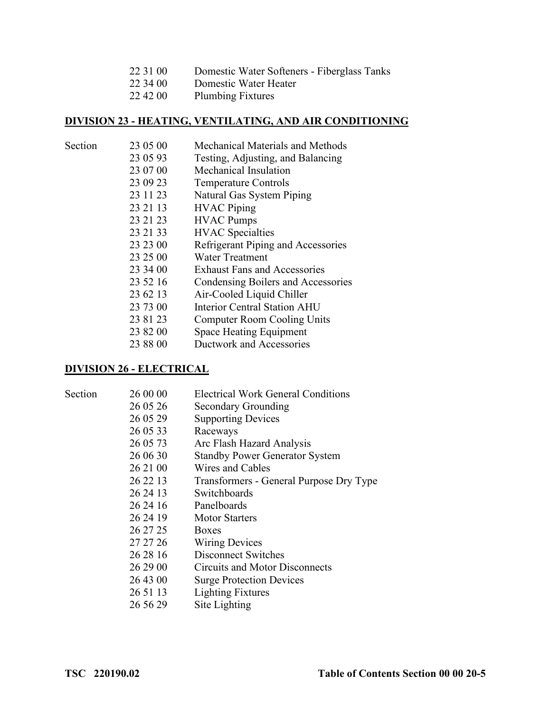| 22 31 00 | Domestic Water Softeners - Fiberglass Tanks |  |
|----------|---------------------------------------------|--|
|----------|---------------------------------------------|--|

- 22 34 00 Domestic Water Heater<br>22 42 00 Plumbing Fixtures
- Plumbing Fixtures

# **DIVISION 23 - HEATING, VENTILATING, AND AIR CONDITIONING**

| Section | 23 05 00 | Mechanical Materials and Methods    |
|---------|----------|-------------------------------------|
|         | 23 05 93 | Testing, Adjusting, and Balancing   |
|         | 23 07 00 | Mechanical Insulation               |
|         | 23 09 23 | <b>Temperature Controls</b>         |
|         | 23 11 23 | Natural Gas System Piping           |
|         | 23 21 13 | <b>HVAC</b> Piping                  |
|         | 23 21 23 | <b>HVAC</b> Pumps                   |
|         | 23 21 33 | <b>HVAC</b> Specialties             |
|         | 23 23 00 | Refrigerant Piping and Accessories  |
|         | 23 25 00 | <b>Water Treatment</b>              |
|         | 23 34 00 | <b>Exhaust Fans and Accessories</b> |
|         | 23 52 16 | Condensing Boilers and Accessories  |
|         | 23 62 13 | Air-Cooled Liquid Chiller           |
|         | 23 73 00 | <b>Interior Central Station AHU</b> |
|         | 23 81 23 | Computer Room Cooling Units         |
|         | 23 82 00 | Space Heating Equipment             |
|         | 23 88 00 | Ductwork and Accessories            |
|         |          |                                     |

### **DIVISION 26 - ELECTRICAL**

Section

| Section | 26 00 00 | <b>Electrical Work General Conditions</b> |
|---------|----------|-------------------------------------------|
|         | 26 05 26 | Secondary Grounding                       |
|         | 26 05 29 | <b>Supporting Devices</b>                 |
|         | 26 05 33 | Raceways                                  |
|         | 26 05 73 | Arc Flash Hazard Analysis                 |
|         | 26 06 30 | <b>Standby Power Generator System</b>     |
|         | 26 21 00 | Wires and Cables                          |
|         | 26 22 13 | Transformers - General Purpose Dry Type   |
|         | 26 24 13 | Switchboards                              |
|         | 26 24 16 | Panelboards                               |
|         | 26 24 19 | <b>Motor Starters</b>                     |
|         | 26 27 25 | <b>Boxes</b>                              |
|         | 27 27 26 | <b>Wiring Devices</b>                     |
|         | 26 28 16 | <b>Disconnect Switches</b>                |
|         | 26 29 00 | Circuits and Motor Disconnects            |
|         | 26 43 00 | <b>Surge Protection Devices</b>           |
|         | 26 51 13 | <b>Lighting Fixtures</b>                  |
|         | 26 56 29 | Site Lighting                             |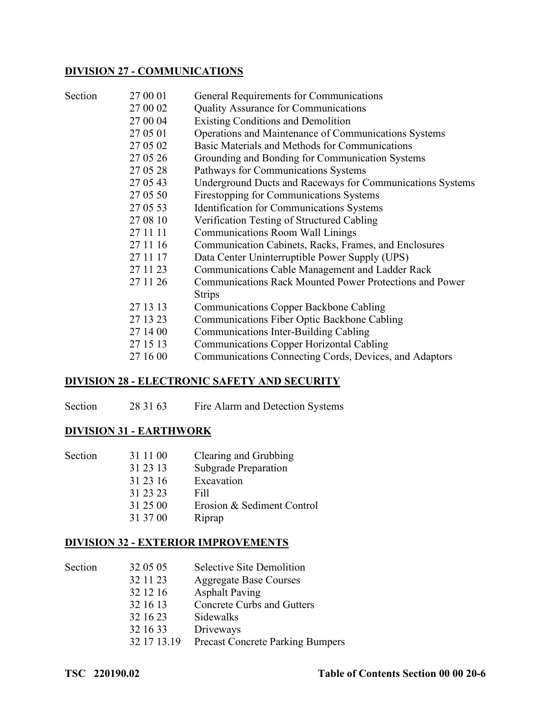#### **DIVISION 27 - COMMUNICATIONS**

| Section | 27 00 01 | General Requirements for Communications                        |
|---------|----------|----------------------------------------------------------------|
|         | 27 00 02 | <b>Quality Assurance for Communications</b>                    |
|         | 27 00 04 | <b>Existing Conditions and Demolition</b>                      |
|         | 27 05 01 | Operations and Maintenance of Communications Systems           |
|         | 27 05 02 | Basic Materials and Methods for Communications                 |
|         | 27 05 26 | Grounding and Bonding for Communication Systems                |
|         | 27 05 28 | Pathways for Communications Systems                            |
|         | 27 05 43 | Underground Ducts and Raceways for Communications Systems      |
|         | 27 05 50 | Firestopping for Communications Systems                        |
|         | 27 05 53 | Identification for Communications Systems                      |
|         | 27 08 10 | Verification Testing of Structured Cabling                     |
|         | 27 11 11 | <b>Communications Room Wall Linings</b>                        |
|         | 27 11 16 | Communication Cabinets, Racks, Frames, and Enclosures          |
|         | 27 11 17 | Data Center Uninterruptible Power Supply (UPS)                 |
|         | 27 11 23 | Communications Cable Management and Ladder Rack                |
|         | 27 11 26 | <b>Communications Rack Mounted Power Protections and Power</b> |
|         |          | <b>Strips</b>                                                  |
|         | 27 13 13 | <b>Communications Copper Backbone Cabling</b>                  |
|         | 27 13 23 | Communications Fiber Optic Backbone Cabling                    |
|         | 27 14 00 | Communications Inter-Building Cabling                          |
|         | 27 15 13 | <b>Communications Copper Horizontal Cabling</b>                |
|         | 27 16 00 | Communications Connecting Cords, Devices, and Adaptors         |
|         |          |                                                                |

### **DIVISION 28 - ELECTRONIC SAFETY AND SECURITY**

Section 28 31 63 Fire Alarm and Detection Systems

## **DIVISION 31 - EARTHWORK**

| Section | 31 11 00 | Clearing and Grubbing      |
|---------|----------|----------------------------|
|         | 31 23 13 | Subgrade Preparation       |
|         | 31 23 16 | Excavation                 |
|         | 31 23 23 | Fill                       |
|         | 31 25 00 | Erosion & Sediment Control |
|         | 31 37 00 | Riprap                     |

### **DIVISION 32 - EXTERIOR IMPROVEMENTS**

| Section | 32 05 05    | Selective Site Demolition               |
|---------|-------------|-----------------------------------------|
|         | 32 11 23    | <b>Aggregate Base Courses</b>           |
|         | 32 12 16    | <b>Asphalt Paving</b>                   |
|         | 32 16 13    | <b>Concrete Curbs and Gutters</b>       |
|         | 32 16 23    | Sidewalks                               |
|         | 32 16 33    | Driveways                               |
|         | 32 17 13.19 | <b>Precast Concrete Parking Bumpers</b> |